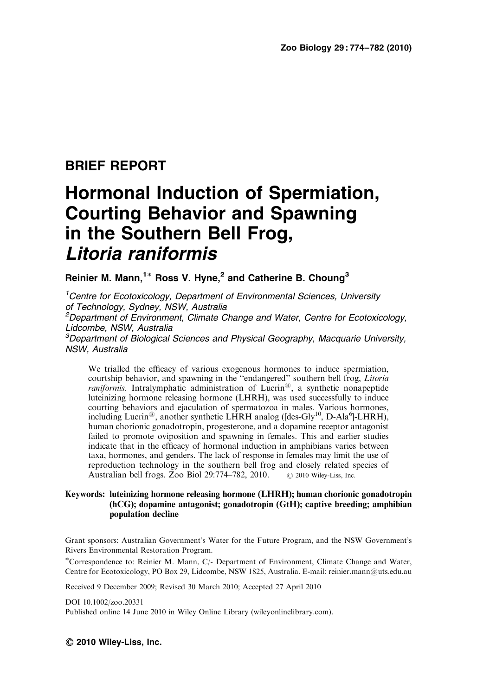## BRIEF REPORT

# Hormonal Induction of Spermiation, Courting Behavior and Spawning in the Southern Bell Frog, Litoria raniformis

Reinier M. Mann,<sup>1\*</sup> Ross V. Hyne,<sup>2</sup> and Catherine B. Choung<sup>3</sup>

<sup>1</sup> Centre for Ecotoxicology, Department of Environmental Sciences, University of Technology, Sydney, NSW, Australia

<sup>2</sup>Department of Environment, Climate Change and Water, Centre for Ecotoxicology, Lidcombe, NSW, Australia

<sup>3</sup>Department of Biological Sciences and Physical Geography, Macquarie University, NSW, Australia

We trialled the efficacy of various exogenous hormones to induce spermiation, courtship behavior, and spawning in the ''endangered'' southern bell frog, Litoria  $raniformis$ . Intralymphatic administration of Lucrin®, a synthetic nonapeptide luteinizing hormone releasing hormone (LHRH), was used successfully to induce courting behaviors and ejaculation of spermatozoa in males. Various hormones, including Lucrin®, another synthetic LHRH analog ([des-Gly<sup>10</sup>, D-Ala<sup>6</sup>]-LHRH), human chorionic gonadotropin, progesterone, and a dopamine receptor antagonist failed to promote oviposition and spawning in females. This and earlier studies indicate that in the efficacy of hormonal induction in amphibians varies between taxa, hormones, and genders. The lack of response in females may limit the use of reproduction technology in the southern bell frog and closely related species of Australian bell frogs. Zoo Biol  $29:774-782$ ,  $2010$ .  $\circ$  2010 Wiley-Liss, Inc.

#### Keywords: luteinizing hormone releasing hormone (LHRH); human chorionic gonadotropin (hCG); dopamine antagonist; gonadotropin (GtH); captive breeding; amphibian population decline

Grant sponsors: Australian Government's Water for the Future Program, and the NSW Government's Rivers Environmental Restoration Program.

-Correspondence to: Reinier M. Mann, C/- Department of Environment, Climate Change and Water, Centre for Ecotoxicology, PO Box 29, Lidcombe, NSW 1825, Australia. E-mail: reinier.mann@uts.edu.au

Received 9 December 2009; Revised 30 March 2010; Accepted 27 April 2010

DOI 10.1002/zoo.20331

Published online 14 June 2010 in Wiley Online Library (wileyonlinelibrary.com).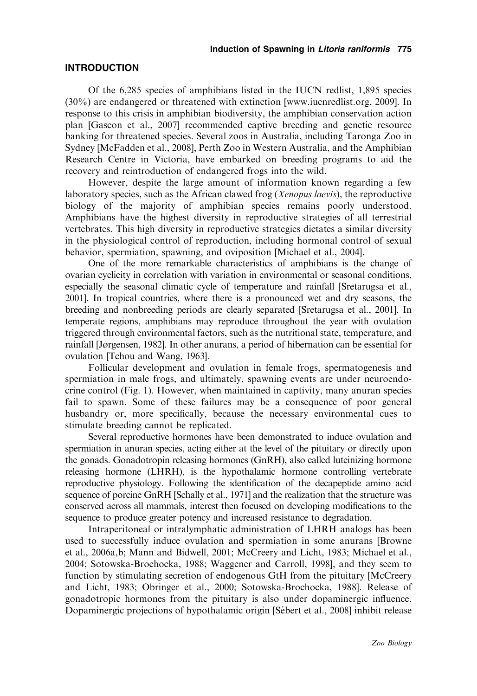#### INTRODUCTION

Of the 6,285 species of amphibians listed in the IUCN redlist, 1,895 species (30%) are endangered or threatened with extinction [www.iucnredlist.org, 2009]. In response to this crisis in amphibian biodiversity, the amphibian conservation action plan [Gascon et al., 2007] recommended captive breeding and genetic resource banking for threatened species. Several zoos in Australia, including Taronga Zoo in Sydney [McFadden et al., 2008], Perth Zoo in Western Australia, and the Amphibian Research Centre in Victoria, have embarked on breeding programs to aid the recovery and reintroduction of endangered frogs into the wild.

However, despite the large amount of information known regarding a few laboratory species, such as the African clawed frog (*Xenopus laevis*), the reproductive biology of the majority of amphibian species remains poorly understood. Amphibians have the highest diversity in reproductive strategies of all terrestrial vertebrates. This high diversity in reproductive strategies dictates a similar diversity in the physiological control of reproduction, including hormonal control of sexual behavior, spermiation, spawning, and oviposition [Michael et al., 2004].

One of the more remarkable characteristics of amphibians is the change of ovarian cyclicity in correlation with variation in environmental or seasonal conditions, especially the seasonal climatic cycle of temperature and rainfall [Sretarugsa et al., 2001]. In tropical countries, where there is a pronounced wet and dry seasons, the breeding and nonbreeding periods are clearly separated [Sretarugsa et al., 2001]. In temperate regions, amphibians may reproduce throughout the year with ovulation triggered through environmental factors, such as the nutritional state, temperature, and rainfall [Jørgensen, 1982]. In other anurans, a period of hibernation can be essential for ovulation [Tchou and Wang, 1963].

Follicular development and ovulation in female frogs, spermatogenesis and spermiation in male frogs, and ultimately, spawning events are under neuroendocrine control (Fig. 1). However, when maintained in captivity, many anuran species fail to spawn. Some of these failures may be a consequence of poor general husbandry or, more specifically, because the necessary environmental cues to stimulate breeding cannot be replicated.

Several reproductive hormones have been demonstrated to induce ovulation and spermiation in anuran species, acting either at the level of the pituitary or directly upon the gonads. Gonadotropin releasing hormones (GnRH), also called luteinizing hormone releasing hormone (LHRH), is the hypothalamic hormone controlling vertebrate reproductive physiology. Following the identification of the decapeptide amino acid sequence of porcine GnRH [Schally et al., 1971] and the realization that the structure was conserved across all mammals, interest then focused on developing modifications to the sequence to produce greater potency and increased resistance to degradation.

Intraperitoneal or intralymphatic administration of LHRH analogs has been used to successfully induce ovulation and spermiation in some anurans [Browne et al., 2006a,b; Mann and Bidwell, 2001; McCreery and Licht, 1983; Michael et al., 2004; Sotowska-Brochocka, 1988; Waggener and Carroll, 1998], and they seem to function by stimulating secretion of endogenous GtH from the pituitary [McCreery and Licht, 1983; Obringer et al., 2000; Sotowska-Brochocka, 1988]. Release of gonadotropic hormones from the pituitary is also under dopaminergic influence. Dopaminergic projections of hypothalamic origin [Sébert et al., 2008] inhibit release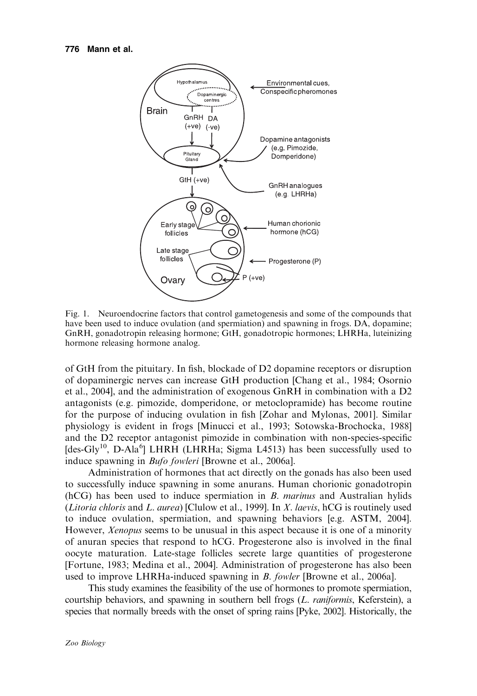

Fig. 1. Neuroendocrine factors that control gametogenesis and some of the compounds that have been used to induce ovulation (and spermiation) and spawning in frogs. DA, dopamine; GnRH, gonadotropin releasing hormone; GtH, gonadotropic hormones; LHRHa, luteinizing hormone releasing hormone analog.

of GtH from the pituitary. In fish, blockade of D2 dopamine receptors or disruption of dopaminergic nerves can increase GtH production [Chang et al., 1984; Osornio et al., 2004], and the administration of exogenous GnRH in combination with a D2 antagonists (e.g. pimozide, domperidone, or metoclopramide) has become routine for the purpose of inducing ovulation in fish [Zohar and Mylonas, 2001]. Similar physiology is evident in frogs [Minucci et al., 1993; Sotowska-Brochocka, 1988] and the D2 receptor antagonist pimozide in combination with non-species-specific [des-Gly<sup>10</sup>, D-Ala<sup>6</sup>] LHRH (LHRHa; Sigma L4513) has been successfully used to induce spawning in Bufo fowleri [Browne et al., 2006a].

Administration of hormones that act directly on the gonads has also been used to successfully induce spawning in some anurans. Human chorionic gonadotropin  $(hCG)$  has been used to induce spermiation in B. marinus and Australian hylids (*Litoria chloris* and *L. aurea*) [Clulow et al., 1999]. In *X. laevis*, hCG is routinely used to induce ovulation, spermiation, and spawning behaviors [e.g. ASTM, 2004]. However, Xenopus seems to be unusual in this aspect because it is one of a minority of anuran species that respond to hCG. Progesterone also is involved in the final oocyte maturation. Late-stage follicles secrete large quantities of progesterone [Fortune, 1983; Medina et al., 2004]. Administration of progesterone has also been used to improve LHRHa-induced spawning in B. fowler [Browne et al., 2006a].

This study examines the feasibility of the use of hormones to promote spermiation, courtship behaviors, and spawning in southern bell frogs  $(L.$  *raniformis*, Keferstein), a species that normally breeds with the onset of spring rains [Pyke, 2002]. Historically, the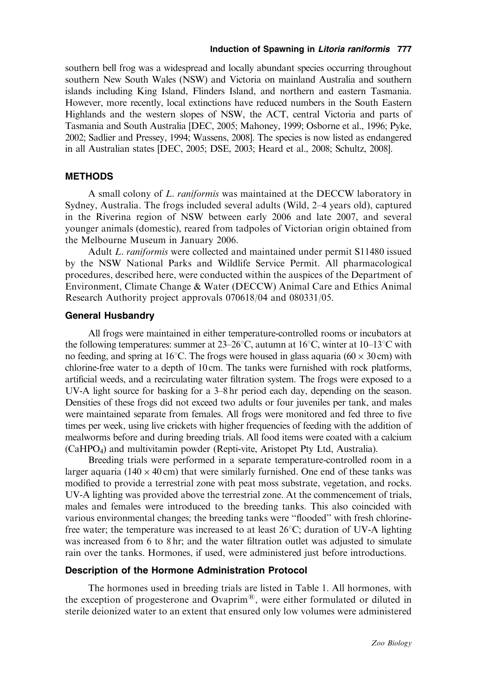#### Induction of Spawning in Litoria raniformis 777

southern bell frog was a widespread and locally abundant species occurring throughout southern New South Wales (NSW) and Victoria on mainland Australia and southern islands including King Island, Flinders Island, and northern and eastern Tasmania. However, more recently, local extinctions have reduced numbers in the South Eastern Highlands and the western slopes of NSW, the ACT, central Victoria and parts of Tasmania and South Australia [DEC, 2005; Mahoney, 1999; Osborne et al., 1996; Pyke, 2002; Sadlier and Pressey, 1994; Wassens, 2008]. The species is now listed as endangered in all Australian states [DEC, 2005; DSE, 2003; Heard et al., 2008; Schultz, 2008].

#### **METHODS**

A small colony of L. raniformis was maintained at the DECCW laboratory in Sydney, Australia. The frogs included several adults (Wild, 2–4 years old), captured in the Riverina region of NSW between early 2006 and late 2007, and several younger animals (domestic), reared from tadpoles of Victorian origin obtained from the Melbourne Museum in January 2006.

Adult L. raniformis were collected and maintained under permit S11480 issued by the NSW National Parks and Wildlife Service Permit. All pharmacological procedures, described here, were conducted within the auspices of the Department of Environment, Climate Change & Water (DECCW) Animal Care and Ethics Animal Research Authority project approvals 070618/04 and 080331/05.

#### General Husbandry

All frogs were maintained in either temperature-controlled rooms or incubators at the following temperatures: summer at  $23-26^{\circ}\text{C}$ , autumn at  $16^{\circ}\text{C}$ , winter at  $10-13^{\circ}\text{C}$  with no feeding, and spring at 16°C. The frogs were housed in glass aquaria ( $60 \times 30$  cm) with chlorine-free water to a depth of 10 cm. The tanks were furnished with rock platforms, artificial weeds, and a recirculating water filtration system. The frogs were exposed to a UV-A light source for basking for a 3–8 hr period each day, depending on the season. Densities of these frogs did not exceed two adults or four juveniles per tank, and males were maintained separate from females. All frogs were monitored and fed three to five times per week, using live crickets with higher frequencies of feeding with the addition of mealworms before and during breeding trials. All food items were coated with a calcium (CaHPO4) and multivitamin powder (Repti-vite, Aristopet Pty Ltd, Australia).

Breeding trials were performed in a separate temperature-controlled room in a larger aquaria ( $140 \times 40$  cm) that were similarly furnished. One end of these tanks was modified to provide a terrestrial zone with peat moss substrate, vegetation, and rocks. UV-A lighting was provided above the terrestrial zone. At the commencement of trials, males and females were introduced to the breeding tanks. This also coincided with various environmental changes; the breeding tanks were ''flooded'' with fresh chlorinefree water; the temperature was increased to at least  $26^{\circ}$ C; duration of UV-A lighting was increased from 6 to 8 hr; and the water filtration outlet was adjusted to simulate rain over the tanks. Hormones, if used, were administered just before introductions.

#### Description of the Hormone Administration Protocol

The hormones used in breeding trials are listed in Table 1. All hormones, with the exception of progesterone and Ovaprim<sup>®</sup>, were either formulated or diluted in sterile deionized water to an extent that ensured only low volumes were administered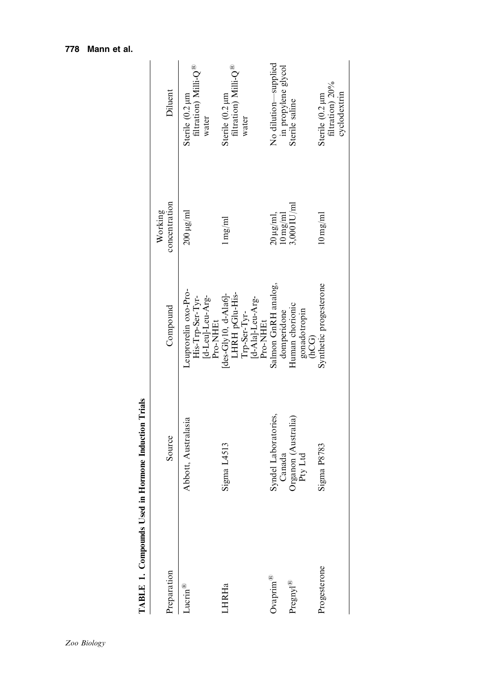| reparation             | Source                         | Compound                                                                               | concentration<br>Working             | Diluent                                                      |
|------------------------|--------------------------------|----------------------------------------------------------------------------------------|--------------------------------------|--------------------------------------------------------------|
| Jucrin <sup>®</sup>    | Abbott, Australasia            | Leuprorelin oxo-Pro-<br>[d-Leu]-Leu-Arg-<br>His-Trp-Ser-Tyr-<br>Pro-NHEt               | $200 \,\mathrm{\mu g/mol}$           | filtration) Milli-Q <sup>®</sup><br>Sterile (0.2 µm<br>water |
| <b>HRHa</b>            | Sigma L4513                    | [des-Gly10, d-Ala6]-<br>LHRH pGlu-His-<br>[d-Ala]-Leu-Arg-<br>Trp-Ser-Tyr-<br>Pro-NHEt | $1 \,\mathrm{mg/ml}$                 | filtration) Milli-Q <sup>®</sup><br>Sterile (0.2 µm<br>water |
| $\frac{1}{2}$          | Syndel Laboratories,<br>Canada | Salmon GnRH analog,<br>domperidone                                                     | $20 \,\mu\text{g/ml},$<br>$10$ mg/ml | No dilution—supplied<br>in propylene glycol                  |
| $rac{\text{argny}}{2}$ | Organon (Australia)<br>Pty Ltd | Human chorionic<br>gonadotropin<br>(hCG)                                               | $3,000$ IU/ml                        | Sterile saline                                               |
| rogesterone            | Sigma P8783                    | Synthetic progesterone                                                                 | $10 \,\mathrm{mg/ml}$                | filtration) 20%<br>cyclodextrin<br>Sterile (0.2 µm           |
|                        |                                |                                                                                        |                                      |                                                              |

TABLE 1. Compounds Used in Hormone Induction Trials TABLE 1. Compounds Used in Hormone Induction Trials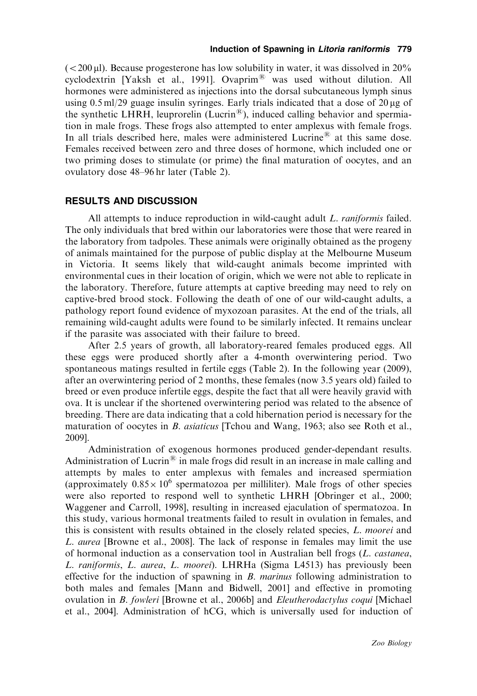$\epsilon$  (<200 µl). Because progesterone has low solubility in water, it was dissolved in 20% cyclodextrin [Yaksh et al., 1991]. Ovaprim $^{\circledR}$  was used without dilution. All hormones were administered as injections into the dorsal subcutaneous lymph sinus using 0.5 ml/29 guage insulin syringes. Early trials indicated that a dose of  $20 \mu$ g of the synthetic LHRH, leuprorelin (Lucrin<sup>®</sup>), induced calling behavior and spermiation in male frogs. These frogs also attempted to enter amplexus with female frogs. In all trials described here, males were administered Lucrine<sup>®</sup> at this same dose. Females received between zero and three doses of hormone, which included one or two priming doses to stimulate (or prime) the final maturation of oocytes, and an ovulatory dose 48–96 hr later (Table 2).

#### RESULTS AND DISCUSSION

All attempts to induce reproduction in wild-caught adult L. raniformis failed. The only individuals that bred within our laboratories were those that were reared in the laboratory from tadpoles. These animals were originally obtained as the progeny of animals maintained for the purpose of public display at the Melbourne Museum in Victoria. It seems likely that wild-caught animals become imprinted with environmental cues in their location of origin, which we were not able to replicate in the laboratory. Therefore, future attempts at captive breeding may need to rely on captive-bred brood stock. Following the death of one of our wild-caught adults, a pathology report found evidence of myxozoan parasites. At the end of the trials, all remaining wild-caught adults were found to be similarly infected. It remains unclear if the parasite was associated with their failure to breed.

After 2.5 years of growth, all laboratory-reared females produced eggs. All these eggs were produced shortly after a 4-month overwintering period. Two spontaneous matings resulted in fertile eggs (Table 2). In the following year (2009), after an overwintering period of 2 months, these females (now 3.5 years old) failed to breed or even produce infertile eggs, despite the fact that all were heavily gravid with ova. It is unclear if the shortened overwintering period was related to the absence of breeding. There are data indicating that a cold hibernation period is necessary for the maturation of oocytes in *B. asiaticus* [Tchou and Wang, 1963; also see Roth et al., 2009].

Administration of exogenous hormones produced gender-dependant results. Administration of Lucrin<sup>®</sup> in male frogs did result in an increase in male calling and attempts by males to enter amplexus with females and increased spermiation (approximately  $0.85 \times 10^6$  spermatozoa per milliliter). Male frogs of other species were also reported to respond well to synthetic LHRH [Obringer et al., 2000; Waggener and Carroll, 1998], resulting in increased ejaculation of spermatozoa. In this study, various hormonal treatments failed to result in ovulation in females, and this is consistent with results obtained in the closely related species, L. moorei and L. aurea [Browne et al., 2008]. The lack of response in females may limit the use of hormonal induction as a conservation tool in Australian bell frogs (L. castanea, L. raniformis, L. aurea, L. moorei). LHRHa (Sigma L4513) has previously been effective for the induction of spawning in  $B$ . *marinus* following administration to both males and females [Mann and Bidwell, 2001] and effective in promoting ovulation in B. fowleri [Browne et al., 2006b] and Eleutherodactylus coqui [Michael et al., 2004]. Administration of hCG, which is universally used for induction of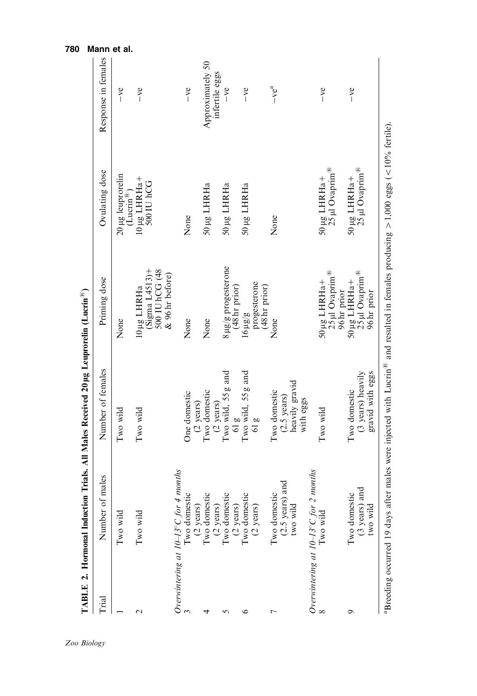| Trial           | Number of males                                                    | Number of females                                     | Priming dose                                                                                                                      | Ovulating dose                                                                                                             | Response in females |
|-----------------|--------------------------------------------------------------------|-------------------------------------------------------|-----------------------------------------------------------------------------------------------------------------------------------|----------------------------------------------------------------------------------------------------------------------------|---------------------|
|                 | Two wild                                                           | Two wild                                              | None                                                                                                                              | 20 µg leuprorelin<br>$(Lucin^{\mathbb{B}})$                                                                                | $-ve$               |
| $\mathbf{\sim}$ | Two wild                                                           | Two wild                                              | $(Sigma L4513)$ +<br>500 IU hCG (48<br>& 96 hr before)<br>10 µg LHRHa                                                             | $10 \mu g$ LHRHa+<br>500 IU hCG                                                                                            | $-ve$               |
|                 | Overwintering at $10-13^{\circ}$ C for 4 months                    |                                                       |                                                                                                                                   |                                                                                                                            |                     |
|                 | Iwo domestic                                                       | One domestic<br>(2 years)                             | None                                                                                                                              | None                                                                                                                       | $-ve$               |
| 4               | (2 years)<br>Two domestic<br>$(2 \text{ years})$<br>Two domestic   | Two domestic                                          | None                                                                                                                              | 50 µg LHRHa                                                                                                                | Approximately 50    |
|                 |                                                                    | $(2 \text{ years})$                                   |                                                                                                                                   |                                                                                                                            | infertile eggs      |
| 5               |                                                                    | Two wild, 55 g and                                    | 8 µg/g progesterone<br>(48 hr prior)                                                                                              | 50 µg LHRHa                                                                                                                | $-ve$               |
| ৩               | $(2 \text{ years})$<br>Two domestic                                | $61g$<br>Two wild, 55 g and                           | $16 \mu g/g$                                                                                                                      | 50 µg LHRHa                                                                                                                | $-ve$               |
|                 | (2 years)                                                          | 61g                                                   | progesterone<br>(48 hr prior)                                                                                                     |                                                                                                                            |                     |
| $\overline{ }$  |                                                                    | Two domestic                                          | None                                                                                                                              | None                                                                                                                       | $-ve^a$             |
|                 | Two domestic<br>(2.5 years) and<br>two wild                        | heavily gravid<br>$(2.5 \text{ years})$               |                                                                                                                                   |                                                                                                                            |                     |
|                 |                                                                    | with eggs                                             |                                                                                                                                   |                                                                                                                            |                     |
|                 | <i>Overwintering at <math>10-13^{\circ}C</math> for 2 months</i> 8 | Two wild                                              | $\begin{array}{c} 50 \,\mu{\rm g}\,\,{\rm LHR} {\rm H} {\rm a} + \\ 25 \,\mu{\rm l}\,\,{\rm{Ovaprim}}^{\circ{\rm B}} \end{array}$ | $\begin{array}{c} 50 \,\mu{\rm g}\,\,{\rm LHRH} {\rm a} + \\ 25 \,\mu{\rm l}\,\,{\rm{Ovaprim}}^{\circ{\rm g}} \end{array}$ | $-ve$               |
| ᡋ               | $(3 \text{ years})$ and two wild<br>Two domestic                   | gravid with eggs<br>(3 years) heavily<br>Two domestic | 25 µl Ovaprim <sup>®</sup><br>50 µg LHRHa+<br>96 hr prior<br>96 hr prior                                                          | 50 µg LHRHa+ $25$ µl Ovaprim $^{\circledR}$                                                                                | $-ve$               |

780 Mann et al.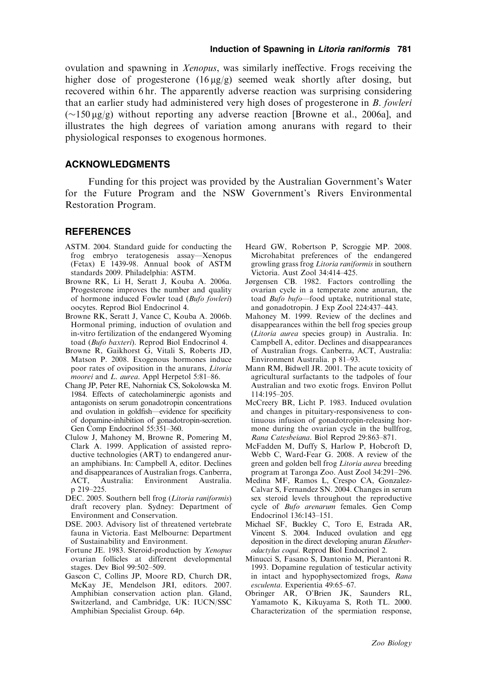ovulation and spawning in Xenopus, was similarly ineffective. Frogs receiving the higher dose of progesterone  $(16 \mu g/g)$  seemed weak shortly after dosing, but recovered within 6 hr. The apparently adverse reaction was surprising considering that an earlier study had administered very high doses of progesterone in B. fowleri  $(\sim 150 \,\mu g/g)$  without reporting any adverse reaction [Browne et al., 2006a], and illustrates the high degrees of variation among anurans with regard to their physiological responses to exogenous hormones.

### ACKNOWLEDGMENTS

Funding for this project was provided by the Australian Government's Water for the Future Program and the NSW Government's Rivers Environmental Restoration Program.

#### **REFERENCES**

- ASTM. 2004. Standard guide for conducting the frog embryo teratogenesis assay—Xenopus (Fetax) E 1439-98. Annual book of ASTM standards 2009. Philadelphia: ASTM.
- Browne RK, Li H, Seratt J, Kouba A. 2006a. Progesterone improves the number and quality of hormone induced Fowler toad (Bufo fowleri) oocytes. Reprod Biol Endocrinol 4.
- Browne RK, Seratt J, Vance C, Kouba A. 2006b. Hormonal priming, induction of ovulation and in-vitro fertilization of the endangered Wyoming toad (Bufo baxteri). Reprod Biol Endocrinol 4.
- Browne R, Gaikhorst G, Vitali S, Roberts JD, Matson P. 2008. Exogenous hormones induce poor rates of oviposition in the anurans, Litoria moorei and L. aurea. Appl Herpetol 5:81-86.
- Chang JP, Peter RE, Nahorniak CS, Sokolowska M. 1984. Effects of catecholaminergic agonists and antagonists on serum gonadotropin concentrations and ovulation in goldfish—evidence for specificity of dopamine-inhibition of gonadotropin-secretion. Gen Comp Endocrinol 55:351–360.
- Clulow J, Mahoney M, Browne R, Pomering M, Clark A. 1999. Application of assisted reproductive technologies (ART) to endangered anuran amphibians. In: Campbell A, editor. Declines and disappearances of Australian frogs. Canberra, ACT, Australia: Environment Australia. p 219–225.
- DEC. 2005. Southern bell frog (Litoria raniformis) draft recovery plan. Sydney: Department of Environment and Conservation.
- DSE. 2003. Advisory list of threatened vertebrate fauna in Victoria. East Melbourne: Department of Sustainability and Environment.
- Fortune JE. 1983. Steroid-production by Xenopus ovarian follicles at different developmental stages. Dev Biol 99:502–509.
- Gascon C, Collins JP, Moore RD, Church DR, McKay JE, Mendelson JRI, editors. 2007. Amphibian conservation action plan. Gland, Switzerland, and Cambridge, UK: IUCN/SSC Amphibian Specialist Group. 64p.
- Heard GW, Robertson P, Scroggie MP. 2008. Microhabitat preferences of the endangered growling grass frog Litoria raniformis in southern Victoria. Aust Zool 34:414–425.
- Jørgensen CB. 1982. Factors controlling the ovarian cycle in a temperate zone anuran, the toad Bufo bufo—food uptake, nutritional state, and gonadotropin. J Exp Zool 224:437–443.
- Mahoney M. 1999. Review of the declines and disappearances within the bell frog species group (Litoria aurea species group) in Australia. In: Campbell A, editor. Declines and disappearances of Australian frogs. Canberra, ACT, Australia: Environment Australia. p 81–93.
- Mann RM, Bidwell JR. 2001. The acute toxicity of agricultural surfactants to the tadpoles of four Australian and two exotic frogs. Environ Pollut 114:195–205.
- McCreery BR, Licht P. 1983. Induced ovulation and changes in pituitary-responsiveness to continuous infusion of gonadotropin-releasing hormone during the ovarian cycle in the bullfrog, Rana Catesbeiana. Biol Reprod 29:863–871.
- McFadden M, Duffy S, Harlow P, Hobcroft D, Webb C, Ward-Fear G. 2008. A review of the green and golden bell frog Litoria aurea breeding program at Taronga Zoo. Aust Zool 34:291–296.
- Medina MF, Ramos L, Crespo CA, Gonzalez-Calvar S, Fernandez SN. 2004. Changes in serum sex steroid levels throughout the reproductive cycle of Bufo arenarum females. Gen Comp Endocrinol 136:143–151.
- Michael SF, Buckley C, Toro E, Estrada AR, Vincent S. 2004. Induced ovulation and egg deposition in the direct developing anuran Eleutherodactylus coqui. Reprod Biol Endocrinol 2.
- Minucci S, Fasano S, Dantonio M, Pierantoni R. 1993. Dopamine regulation of testicular activity in intact and hypophysectomized frogs, Rana esculenta. Experientia 49:65–67.
- Obringer AR, O'Brien JK, Saunders RL, Yamamoto K, Kikuyama S, Roth TL. 2000. Characterization of the spermiation response,